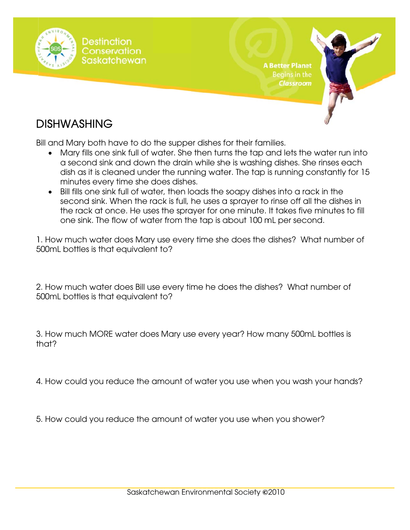

### **DISHWASHING**

Bill and Mary both have to do the supper dishes for their families.

- Mary fills one sink full of water. She then turns the tap and lets the water run into a second sink and down the drain while she is washing dishes. She rinses each dish as it is cleaned under the running water. The tap is running constantly for 15 minutes every time she does dishes.
- Bill fills one sink full of water, then loads the soapy dishes into a rack in the second sink. When the rack is full, he uses a sprayer to rinse off all the dishes in the rack at once. He uses the sprayer for one minute. It takes five minutes to fill one sink. The flow of water from the tap is about 100 mL per second.

1. How much water does Mary use every time she does the dishes? What number of 500mL bottles is that equivalent to?

2. How much water does Bill use every time he does the dishes? What number of 500mL bottles is that equivalent to?

3. How much MORE water does Mary use every year? How many 500mL bottles is that?

4. How could you reduce the amount of water you use when you wash your hands?

5. How could you reduce the amount of water you use when you shower?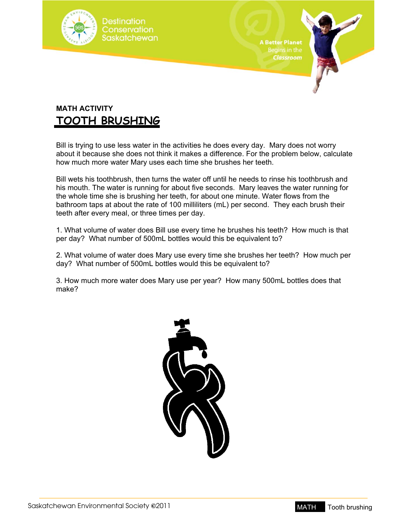

**A Better Planet** 

#### **MATH ACTIVITY TOOTH BRUSHING**

Bill is trying to use less water in the activities he does every day. Mary does not worry about it because she does not think it makes a difference. For the problem below, calculate how much more water Mary uses each time she brushes her teeth.

Bill wets his toothbrush, then turns the water off until he needs to rinse his toothbrush and his mouth. The water is running for about five seconds. Mary leaves the water running for the whole time she is brushing her teeth, for about one minute. Water flows from the bathroom taps at about the rate of 100 milliliters (mL) per second. They each brush their teeth after every meal, or three times per day.

1. What volume of water does Bill use every time he brushes his teeth? How much is that per day? What number of 500mL bottles would this be equivalent to?

2. What volume of water does Mary use every time she brushes her teeth? How much per day? What number of 500mL bottles would this be equivalent to?

3. How much more water does Mary use per year? How many 500mL bottles does that make?



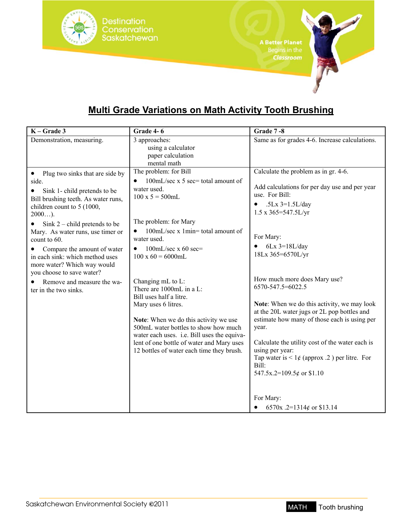

### **Multi Grade Variations on Math Activity Tooth Brushing**

| $K - Grade 3$                                                                                                                                                                                                                                                                                                                                                                                                                                                | Grade 4-6                                                                                                                                                                                                                                                                                                                                                                                                                                                                                                                                                                          | Grade 7-8                                                                                                                                                                                                                                                                                                                                                                                                                                                                                                                                                                                              |
|--------------------------------------------------------------------------------------------------------------------------------------------------------------------------------------------------------------------------------------------------------------------------------------------------------------------------------------------------------------------------------------------------------------------------------------------------------------|------------------------------------------------------------------------------------------------------------------------------------------------------------------------------------------------------------------------------------------------------------------------------------------------------------------------------------------------------------------------------------------------------------------------------------------------------------------------------------------------------------------------------------------------------------------------------------|--------------------------------------------------------------------------------------------------------------------------------------------------------------------------------------------------------------------------------------------------------------------------------------------------------------------------------------------------------------------------------------------------------------------------------------------------------------------------------------------------------------------------------------------------------------------------------------------------------|
| Demonstration, measuring.                                                                                                                                                                                                                                                                                                                                                                                                                                    | 3 approaches:<br>using a calculator<br>paper calculation<br>mental math                                                                                                                                                                                                                                                                                                                                                                                                                                                                                                            | Same as for grades 4-6. Increase calculations.                                                                                                                                                                                                                                                                                                                                                                                                                                                                                                                                                         |
| Plug two sinks that are side by<br>$\bullet$<br>side.<br>Sink 1- child pretends to be<br>٠<br>Bill brushing teeth. As water runs,<br>children count to 5 (1000,<br>$2000$ ).<br>Sink $2$ – child pretends to be<br>Mary. As water runs, use timer or<br>count to $60$ .<br>Compare the amount of water<br>in each sink: which method uses<br>more water? Which way would<br>you choose to save water?<br>Remove and measure the wa-<br>ter in the two sinks. | The problem: for Bill<br>100mL/sec x 5 sec= total amount of<br>water used.<br>$100 \times 5 = 500$ mL<br>The problem: for Mary<br>100mL/sec x 1min= total amount of<br>water used.<br>100mL/sec $x$ 60 sec=<br>$\bullet$<br>$100 \times 60 = 6000$ mL<br>Changing mL to L:<br>There are 1000mL in a L:<br>Bill uses half a litre.<br>Mary uses 6 litres.<br>Note: When we do this activity we use<br>500mL water bottles to show how much<br>water each uses. i.e. Bill uses the equiva-<br>lent of one bottle of water and Mary uses<br>12 bottles of water each time they brush. | Calculate the problem as in gr. 4-6.<br>Add calculations for per day use and per year<br>use. For Bill:<br>.5Lx $3=1.5$ L/day<br>$1.5 \times 365 = 547.5$ L/yr<br>For Mary:<br>$6Lx$ 3=18L/day<br>18Lx 365=6570L/yr<br>How much more does Mary use?<br>6570-547.5=6022.5<br>Note: When we do this activity, we may look<br>at the 20L water jugs or 2L pop bottles and<br>estimate how many of those each is using per<br>year.<br>Calculate the utility cost of the water each is<br>using per year:<br>Tap water is $\leq 1 \notin$ (approx .2) per litre. For<br>Bill:<br>547.5x.2=109.5¢ or \$1.10 |
|                                                                                                                                                                                                                                                                                                                                                                                                                                                              |                                                                                                                                                                                                                                                                                                                                                                                                                                                                                                                                                                                    | For Mary:<br>6570x .2=1314¢ or \$13.14                                                                                                                                                                                                                                                                                                                                                                                                                                                                                                                                                                 |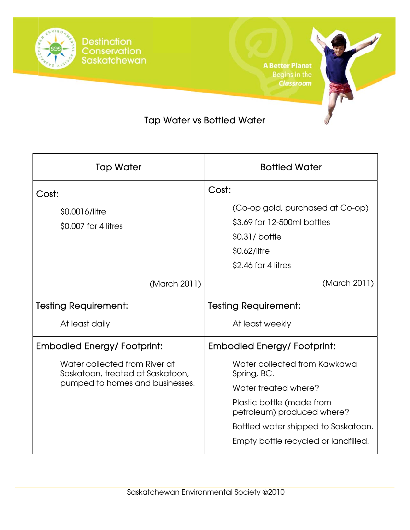

**A Better Planet** Classroom

### **Tap Water vs Bottled Water**

| <b>Tap Water</b>                                                  | <b>Bottled Water</b>                                    |  |
|-------------------------------------------------------------------|---------------------------------------------------------|--|
| Cost:                                                             | Cost:                                                   |  |
| \$0.0016/litre                                                    | (Co-op gold, purchased at Co-op)                        |  |
| \$0,007 for 4 litres                                              | \$3.69 for 12-500ml bottles                             |  |
|                                                                   | \$0.31/bottle                                           |  |
|                                                                   | \$0.62/litre                                            |  |
|                                                                   | \$2.46 for 4 litres                                     |  |
| (March 2011)                                                      | (March 2011)                                            |  |
| <b>Testing Requirement:</b>                                       | <b>Testing Requirement:</b>                             |  |
| At least daily                                                    | At least weekly                                         |  |
| <b>Embodied Energy/ Footprint:</b>                                | <b>Embodied Energy/ Footprint:</b>                      |  |
| Water collected from River at<br>Saskatoon, treated at Saskatoon, | Water collected from Kawkawa<br>Spring, BC.             |  |
| pumped to homes and businesses.                                   | Water treated where?                                    |  |
|                                                                   | Plastic bottle (made from<br>petroleum) produced where? |  |
|                                                                   | Bottled water shipped to Saskatoon.                     |  |
|                                                                   | Empty bottle recycled or landfilled.                    |  |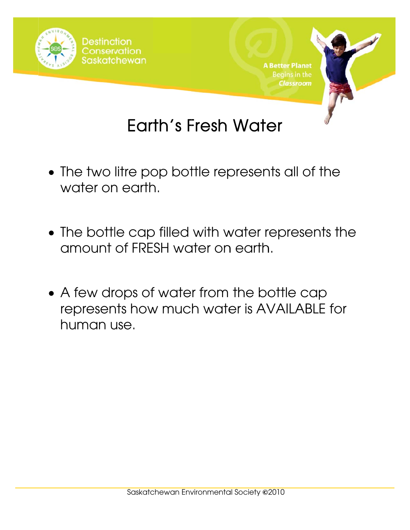

# Earth's Fresh Water

- The two litre pop bottle represents all of the water on earth.
- The bottle cap filled with water represents the amount of FRESH water on earth.
- A few drops of water from the bottle cap represents how much water is AVAILABLE for human use.